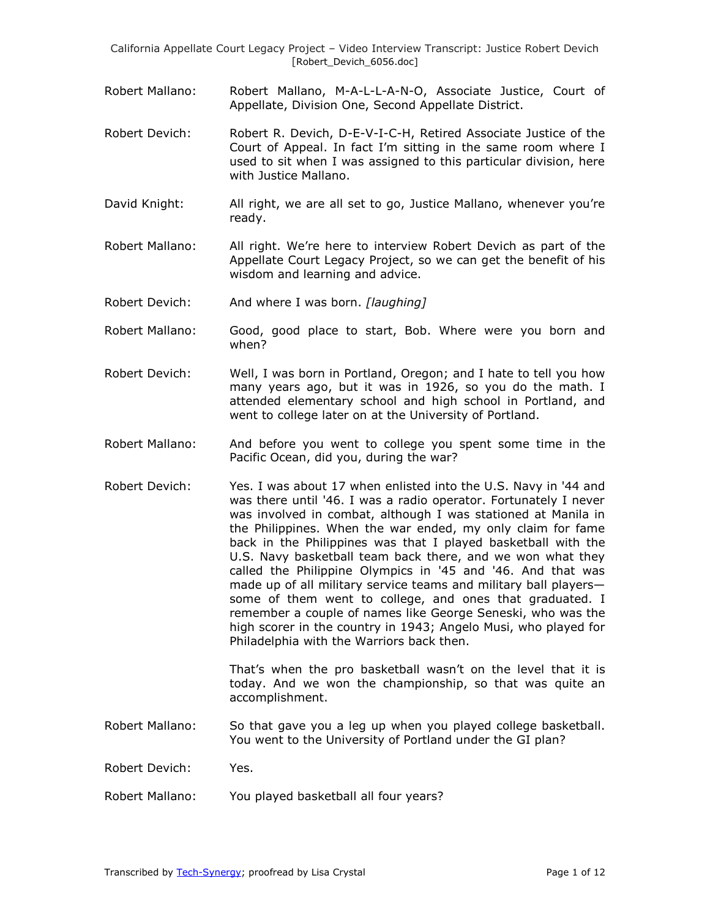- Robert Mallano: Robert Mallano, M-A-L-L-A-N-O, Associate Justice, Court of Appellate, Division One, Second Appellate District.
- Robert Devich: Robert R. Devich, D-E-V-I-C-H, Retired Associate Justice of the Court of Appeal. In fact I'm sitting in the same room where I used to sit when I was assigned to this particular division, here with Justice Mallano.
- David Knight: All right, we are all set to go, Justice Mallano, whenever you're ready.
- Robert Mallano: All right. We're here to interview Robert Devich as part of the Appellate Court Legacy Project, so we can get the benefit of his wisdom and learning and advice.
- Robert Devich: And where I was born. *[laughing]*
- Robert Mallano: Good, good place to start, Bob. Where were you born and when?
- Robert Devich: Well, I was born in Portland, Oregon; and I hate to tell you how many years ago, but it was in 1926, so you do the math. I attended elementary school and high school in Portland, and went to college later on at the University of Portland.
- Robert Mallano: And before you went to college you spent some time in the Pacific Ocean, did you, during the war?
- Robert Devich: Yes. I was about 17 when enlisted into the U.S. Navy in '44 and was there until '46. I was a radio operator. Fortunately I never was involved in combat, although I was stationed at Manila in the Philippines. When the war ended, my only claim for fame back in the Philippines was that I played basketball with the U.S. Navy basketball team back there, and we won what they called the Philippine Olympics in '45 and '46. And that was made up of all military service teams and military ball players some of them went to college, and ones that graduated. I remember a couple of names like George Seneski, who was the high scorer in the country in 1943; Angelo Musi, who played for Philadelphia with the Warriors back then.

That's when the pro basketball wasn't on the level that it is today. And we won the championship, so that was quite an accomplishment.

- Robert Mallano: So that gave you a leg up when you played college basketball. You went to the University of Portland under the GI plan?
- Robert Devich: Yes.
- Robert Mallano: You played basketball all four years?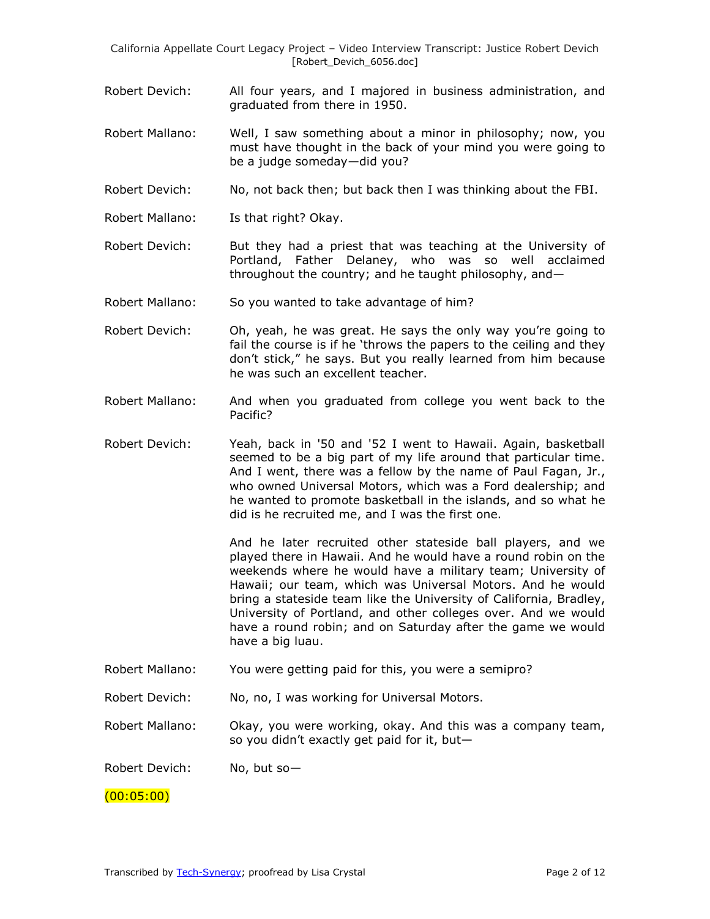- Robert Devich: All four years, and I majored in business administration, and graduated from there in 1950.
- Robert Mallano: Well, I saw something about a minor in philosophy; now, you must have thought in the back of your mind you were going to be a judge someday—did you?
- Robert Devich: No, not back then; but back then I was thinking about the FBI.
- Robert Mallano: Is that right? Okay.
- Robert Devich: But they had a priest that was teaching at the University of Portland, Father Delaney, who was so well acclaimed throughout the country; and he taught philosophy, and—
- Robert Mallano: So you wanted to take advantage of him?
- Robert Devich: Oh, yeah, he was great. He says the only way you're going to fail the course is if he 'throws the papers to the ceiling and they don't stick," he says. But you really learned from him because he was such an excellent teacher.
- Robert Mallano: And when you graduated from college you went back to the Pacific?
- Robert Devich: Yeah, back in '50 and '52 I went to Hawaii. Again, basketball seemed to be a big part of my life around that particular time. And I went, there was a fellow by the name of Paul Fagan, Jr., who owned Universal Motors, which was a Ford dealership; and he wanted to promote basketball in the islands, and so what he did is he recruited me, and I was the first one.

And he later recruited other stateside ball players, and we played there in Hawaii. And he would have a round robin on the weekends where he would have a military team; University of Hawaii; our team, which was Universal Motors. And he would bring a stateside team like the University of California, Bradley, University of Portland, and other colleges over. And we would have a round robin; and on Saturday after the game we would have a big luau.

- Robert Mallano: You were getting paid for this, you were a semipro?
- Robert Devich: No, no, I was working for Universal Motors.

Robert Mallano: Okay, you were working, okay. And this was a company team, so you didn't exactly get paid for it, but—

Robert Devich: No, but so—

(00:05:00)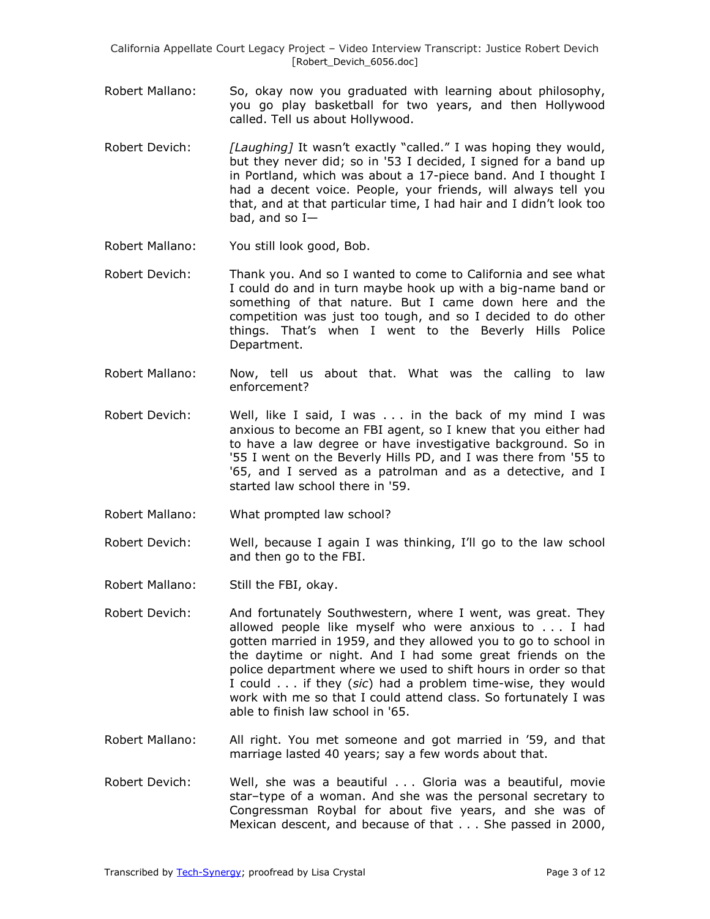- Robert Mallano: So, okay now you graduated with learning about philosophy, you go play basketball for two years, and then Hollywood called. Tell us about Hollywood.
- Robert Devich: *[Laughing]* It wasn't exactly "called." I was hoping they would, but they never did; so in '53 I decided, I signed for a band up in Portland, which was about a 17-piece band. And I thought I had a decent voice. People, your friends, will always tell you that, and at that particular time, I had hair and I didn't look too bad, and so I—
- Robert Mallano: You still look good, Bob.
- Robert Devich: Thank you. And so I wanted to come to California and see what I could do and in turn maybe hook up with a big-name band or something of that nature. But I came down here and the competition was just too tough, and so I decided to do other things. That's when I went to the Beverly Hills Police Department.
- Robert Mallano: Now, tell us about that. What was the calling to law enforcement?
- Robert Devich: Well, like I said, I was . . . in the back of my mind I was anxious to become an FBI agent, so I knew that you either had to have a law degree or have investigative background. So in '55 I went on the Beverly Hills PD, and I was there from '55 to '65, and I served as a patrolman and as a detective, and I started law school there in '59.
- Robert Mallano: What prompted law school?
- Robert Devich: Well, because I again I was thinking, I'll go to the law school and then go to the FBI.
- Robert Mallano: Still the FBI, okay.
- Robert Devich: And fortunately Southwestern, where I went, was great. They allowed people like myself who were anxious to . . . I had gotten married in 1959, and they allowed you to go to school in the daytime or night. And I had some great friends on the police department where we used to shift hours in order so that I could . . . if they (*sic*) had a problem time-wise, they would work with me so that I could attend class. So fortunately I was able to finish law school in '65.
- Robert Mallano: All right. You met someone and got married in '59, and that marriage lasted 40 years; say a few words about that.
- Robert Devich: Well, she was a beautiful . . . Gloria was a beautiful, movie star–type of a woman. And she was the personal secretary to Congressman Roybal for about five years, and she was of Mexican descent, and because of that . . . She passed in 2000,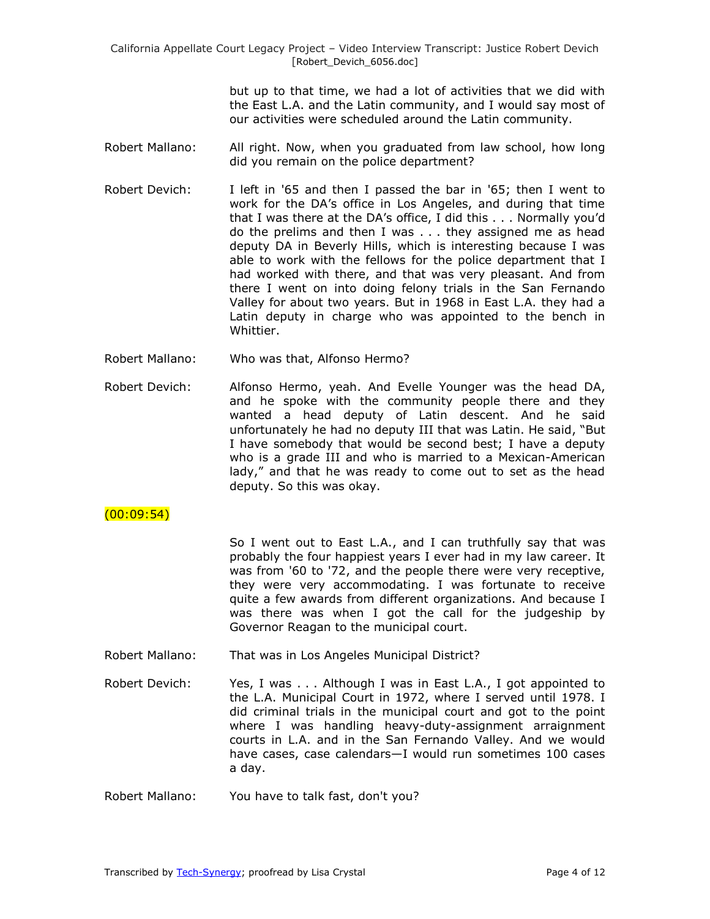> but up to that time, we had a lot of activities that we did with the East L.A. and the Latin community, and I would say most of our activities were scheduled around the Latin community.

- Robert Mallano: All right. Now, when you graduated from law school, how long did you remain on the police department?
- Robert Devich: I left in '65 and then I passed the bar in '65; then I went to work for the DA's office in Los Angeles, and during that time that I was there at the DA's office, I did this . . . Normally you'd do the prelims and then I was . . . they assigned me as head deputy DA in Beverly Hills, which is interesting because I was able to work with the fellows for the police department that I had worked with there, and that was very pleasant. And from there I went on into doing felony trials in the San Fernando Valley for about two years. But in 1968 in East L.A. they had a Latin deputy in charge who was appointed to the bench in Whittier.
- Robert Mallano: Who was that, Alfonso Hermo?
- Robert Devich: Alfonso Hermo, yeah. And Evelle Younger was the head DA, and he spoke with the community people there and they wanted a head deputy of Latin descent. And he said unfortunately he had no deputy III that was Latin. He said, "But I have somebody that would be second best; I have a deputy who is a grade III and who is married to a Mexican-American lady," and that he was ready to come out to set as the head deputy. So this was okay.

# $(00:09:54)$

So I went out to East L.A., and I can truthfully say that was probably the four happiest years I ever had in my law career. It was from '60 to '72, and the people there were very receptive, they were very accommodating. I was fortunate to receive quite a few awards from different organizations. And because I was there was when I got the call for the judgeship by Governor Reagan to the municipal court.

- Robert Mallano: That was in Los Angeles Municipal District?
- Robert Devich: Yes, I was . . . Although I was in East L.A., I got appointed to the L.A. Municipal Court in 1972, where I served until 1978. I did criminal trials in the municipal court and got to the point where I was handling heavy-duty-assignment arraignment courts in L.A. and in the San Fernando Valley. And we would have cases, case calendars—I would run sometimes 100 cases a day.
- Robert Mallano: You have to talk fast, don't you?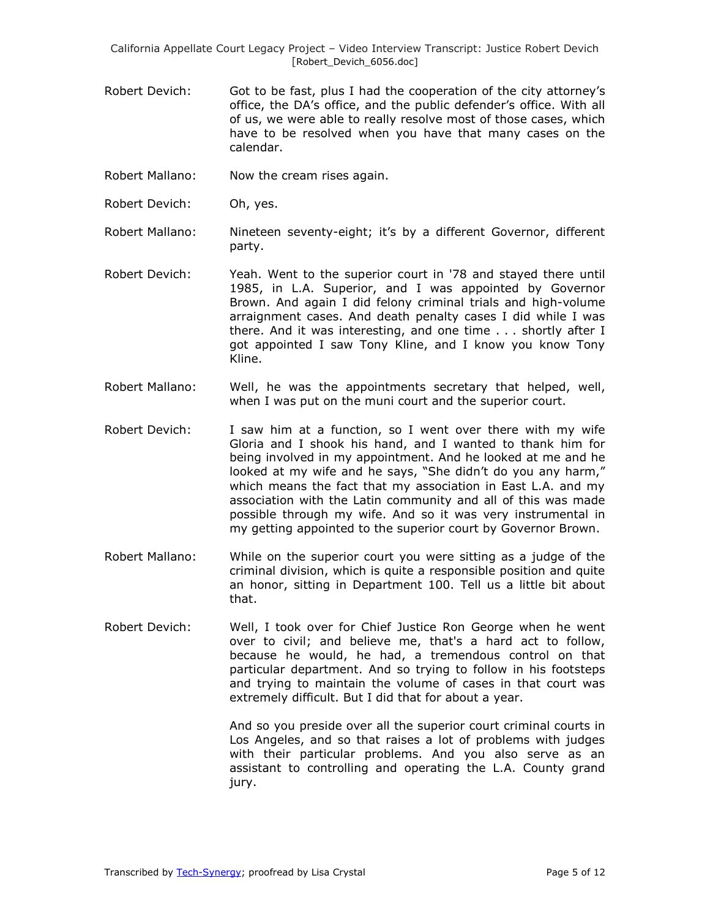- Robert Devich: Got to be fast, plus I had the cooperation of the city attorney's office, the DA's office, and the public defender's office. With all of us, we were able to really resolve most of those cases, which have to be resolved when you have that many cases on the calendar.
- Robert Mallano: Now the cream rises again.
- Robert Devich: Oh, yes.

Robert Mallano: Nineteen seventy-eight; it's by a different Governor, different party.

- Robert Devich: Yeah. Went to the superior court in '78 and stayed there until 1985, in L.A. Superior, and I was appointed by Governor Brown. And again I did felony criminal trials and high-volume arraignment cases. And death penalty cases I did while I was there. And it was interesting, and one time . . . shortly after I got appointed I saw Tony Kline, and I know you know Tony Kline.
- Robert Mallano: Well, he was the appointments secretary that helped, well, when I was put on the muni court and the superior court.
- Robert Devich: I saw him at a function, so I went over there with my wife Gloria and I shook his hand, and I wanted to thank him for being involved in my appointment. And he looked at me and he looked at my wife and he says, "She didn't do you any harm," which means the fact that my association in East L.A. and my association with the Latin community and all of this was made possible through my wife. And so it was very instrumental in my getting appointed to the superior court by Governor Brown.
- Robert Mallano: While on the superior court you were sitting as a judge of the criminal division, which is quite a responsible position and quite an honor, sitting in Department 100. Tell us a little bit about that.
- Robert Devich: Well, I took over for Chief Justice Ron George when he went over to civil; and believe me, that's a hard act to follow, because he would, he had, a tremendous control on that particular department. And so trying to follow in his footsteps and trying to maintain the volume of cases in that court was extremely difficult. But I did that for about a year.

And so you preside over all the superior court criminal courts in Los Angeles, and so that raises a lot of problems with judges with their particular problems. And you also serve as an assistant to controlling and operating the L.A. County grand jury.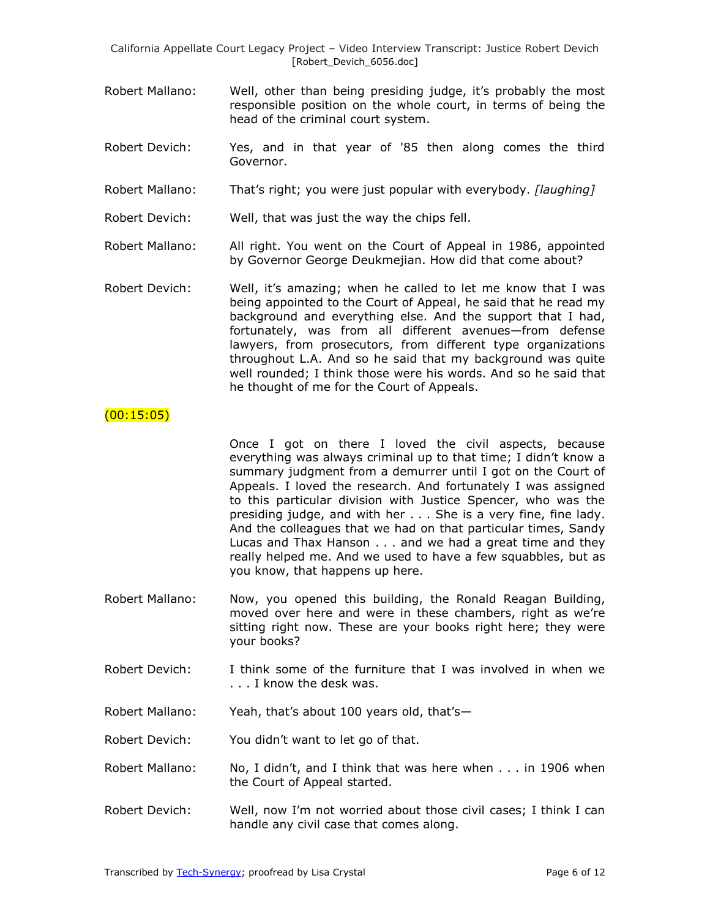- Robert Mallano: Well, other than being presiding judge, it's probably the most responsible position on the whole court, in terms of being the head of the criminal court system.
- Robert Devich: Yes, and in that year of '85 then along comes the third Governor.
- Robert Mallano: That's right; you were just popular with everybody. *[laughing]*

Robert Devich: Well, that was just the way the chips fell.

- Robert Mallano: All right. You went on the Court of Appeal in 1986, appointed by Governor George Deukmejian. How did that come about?
- Robert Devich: Well, it's amazing; when he called to let me know that I was being appointed to the Court of Appeal, he said that he read my background and everything else. And the support that I had, fortunately, was from all different avenues—from defense lawyers, from prosecutors, from different type organizations throughout L.A. And so he said that my background was quite well rounded; I think those were his words. And so he said that he thought of me for the Court of Appeals.

## $(00:15:05)$

Once I got on there I loved the civil aspects, because everything was always criminal up to that time; I didn't know a summary judgment from a demurrer until I got on the Court of Appeals. I loved the research. And fortunately I was assigned to this particular division with Justice Spencer, who was the presiding judge, and with her . . . She is a very fine, fine lady. And the colleagues that we had on that particular times, Sandy Lucas and Thax Hanson . . . and we had a great time and they really helped me. And we used to have a few squabbles, but as you know, that happens up here.

- Robert Mallano: Now, you opened this building, the Ronald Reagan Building, moved over here and were in these chambers, right as we're sitting right now. These are your books right here; they were your books?
- Robert Devich: I think some of the furniture that I was involved in when we . . . I know the desk was.
- Robert Mallano: Yeah, that's about 100 years old, that's—
- Robert Devich: You didn't want to let go of that.
- Robert Mallano: No, I didn't, and I think that was here when . . . in 1906 when the Court of Appeal started.
- Robert Devich: Well, now I'm not worried about those civil cases; I think I can handle any civil case that comes along.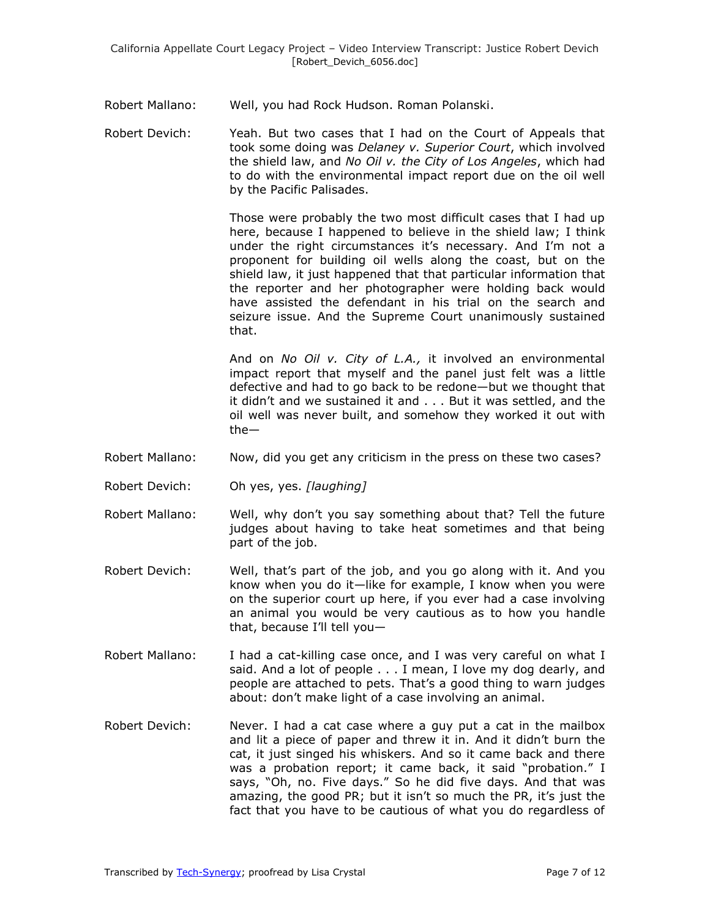Robert Mallano: Well, you had Rock Hudson. Roman Polanski.

Robert Devich: Yeah. But two cases that I had on the Court of Appeals that took some doing was *Delaney v. Superior Court*, which involved the shield law, and *No Oil v. the City of Los Angeles*, which had to do with the environmental impact report due on the oil well by the Pacific Palisades.

> Those were probably the two most difficult cases that I had up here, because I happened to believe in the shield law; I think under the right circumstances it's necessary. And I'm not a proponent for building oil wells along the coast, but on the shield law, it just happened that that particular information that the reporter and her photographer were holding back would have assisted the defendant in his trial on the search and seizure issue. And the Supreme Court unanimously sustained that.

> And on *No Oil v. City of L.A.,* it involved an environmental impact report that myself and the panel just felt was a little defective and had to go back to be redone—but we thought that it didn't and we sustained it and . . . But it was settled, and the oil well was never built, and somehow they worked it out with the—

- Robert Mallano: Now, did you get any criticism in the press on these two cases?
- Robert Devich: Oh yes, yes. *[laughing]*
- Robert Mallano: Well, why don't you say something about that? Tell the future judges about having to take heat sometimes and that being part of the job.
- Robert Devich: Well, that's part of the job, and you go along with it. And you know when you do it—like for example, I know when you were on the superior court up here, if you ever had a case involving an animal you would be very cautious as to how you handle that, because I'll tell you—
- Robert Mallano: I had a cat-killing case once, and I was very careful on what I said. And a lot of people . . . I mean, I love my dog dearly, and people are attached to pets. That's a good thing to warn judges about: don't make light of a case involving an animal.
- Robert Devich: Never. I had a cat case where a guy put a cat in the mailbox and lit a piece of paper and threw it in. And it didn't burn the cat, it just singed his whiskers. And so it came back and there was a probation report; it came back, it said "probation." I says, "Oh, no. Five days." So he did five days. And that was amazing, the good PR; but it isn't so much the PR, it's just the fact that you have to be cautious of what you do regardless of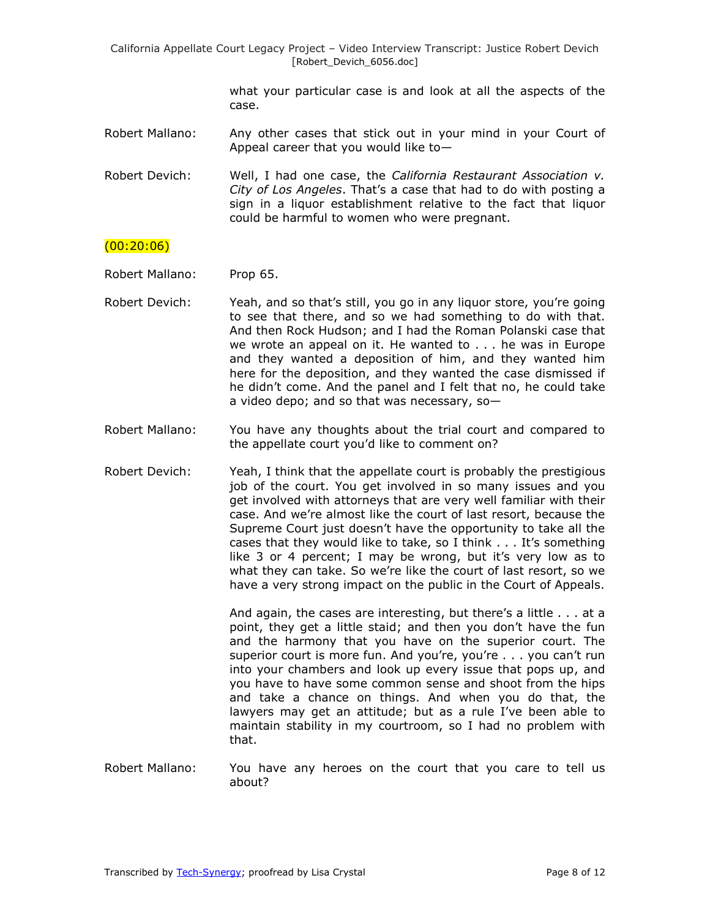> what your particular case is and look at all the aspects of the case.

Robert Mallano: Any other cases that stick out in your mind in your Court of Appeal career that you would like to—

Robert Devich: Well, I had one case, the *California Restaurant Association v. City of Los Angeles*. That's a case that had to do with posting a sign in a liquor establishment relative to the fact that liquor could be harmful to women who were pregnant.

# $(00:20:06)$

- Robert Mallano: Prop 65.
- Robert Devich: Yeah, and so that's still, you go in any liquor store, you're going to see that there, and so we had something to do with that. And then Rock Hudson; and I had the Roman Polanski case that we wrote an appeal on it. He wanted to . . . he was in Europe and they wanted a deposition of him, and they wanted him here for the deposition, and they wanted the case dismissed if he didn't come. And the panel and I felt that no, he could take a video depo; and so that was necessary, so—
- Robert Mallano: You have any thoughts about the trial court and compared to the appellate court you'd like to comment on?
- Robert Devich: Yeah, I think that the appellate court is probably the prestigious job of the court. You get involved in so many issues and you get involved with attorneys that are very well familiar with their case. And we're almost like the court of last resort, because the Supreme Court just doesn't have the opportunity to take all the cases that they would like to take, so I think . . . It's something like 3 or 4 percent; I may be wrong, but it's very low as to what they can take. So we're like the court of last resort, so we have a very strong impact on the public in the Court of Appeals.

And again, the cases are interesting, but there's a little . . . at a point, they get a little staid; and then you don't have the fun and the harmony that you have on the superior court. The superior court is more fun. And you're, you're . . . you can't run into your chambers and look up every issue that pops up, and you have to have some common sense and shoot from the hips and take a chance on things. And when you do that, the lawyers may get an attitude; but as a rule I've been able to maintain stability in my courtroom, so I had no problem with that.

Robert Mallano: You have any heroes on the court that you care to tell us about?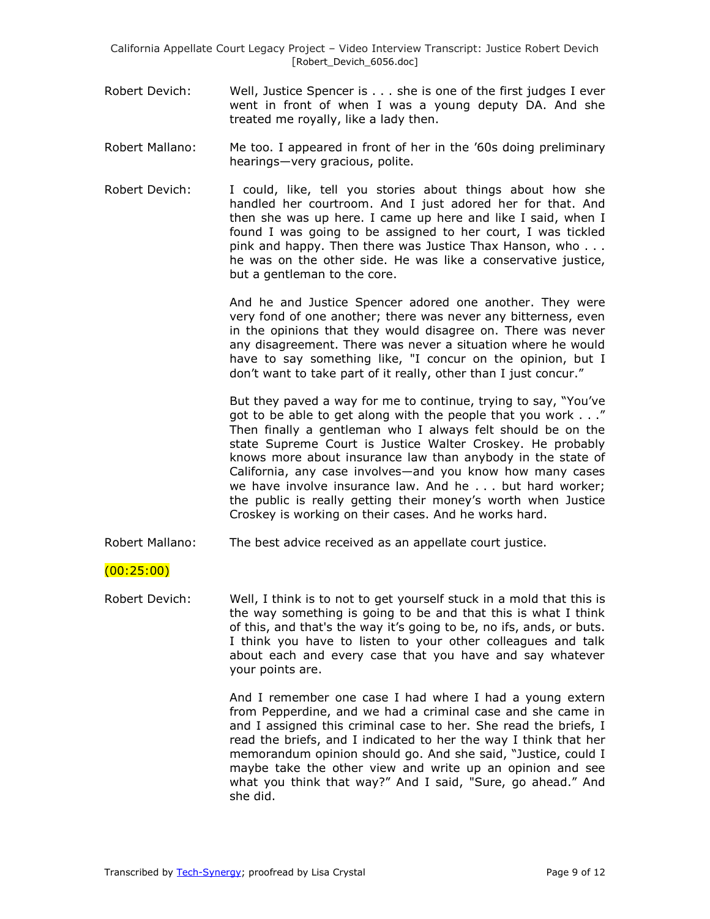- Robert Devich: Well, Justice Spencer is . . . she is one of the first judges I ever went in front of when I was a young deputy DA. And she treated me royally, like a lady then.
- Robert Mallano: Me too. I appeared in front of her in the '60s doing preliminary hearings—very gracious, polite.
- Robert Devich: I could, like, tell you stories about things about how she handled her courtroom. And I just adored her for that. And then she was up here. I came up here and like I said, when I found I was going to be assigned to her court, I was tickled pink and happy. Then there was Justice Thax Hanson, who . . . he was on the other side. He was like a conservative justice, but a gentleman to the core.

And he and Justice Spencer adored one another. They were very fond of one another; there was never any bitterness, even in the opinions that they would disagree on. There was never any disagreement. There was never a situation where he would have to say something like, "I concur on the opinion, but I don't want to take part of it really, other than I just concur."

But they paved a way for me to continue, trying to say, "You've got to be able to get along with the people that you work . . ." Then finally a gentleman who I always felt should be on the state Supreme Court is Justice Walter Croskey. He probably knows more about insurance law than anybody in the state of California, any case involves—and you know how many cases we have involve insurance law. And he . . . but hard worker; the public is really getting their money's worth when Justice Croskey is working on their cases. And he works hard.

Robert Mallano: The best advice received as an appellate court justice.

# (00:25:00)

Robert Devich: Well, I think is to not to get yourself stuck in a mold that this is the way something is going to be and that this is what I think of this, and that's the way it's going to be, no ifs, ands, or buts. I think you have to listen to your other colleagues and talk about each and every case that you have and say whatever your points are.

> And I remember one case I had where I had a young extern from Pepperdine, and we had a criminal case and she came in and I assigned this criminal case to her. She read the briefs, I read the briefs, and I indicated to her the way I think that her memorandum opinion should go. And she said, "Justice, could I maybe take the other view and write up an opinion and see what you think that way?" And I said, "Sure, go ahead." And she did.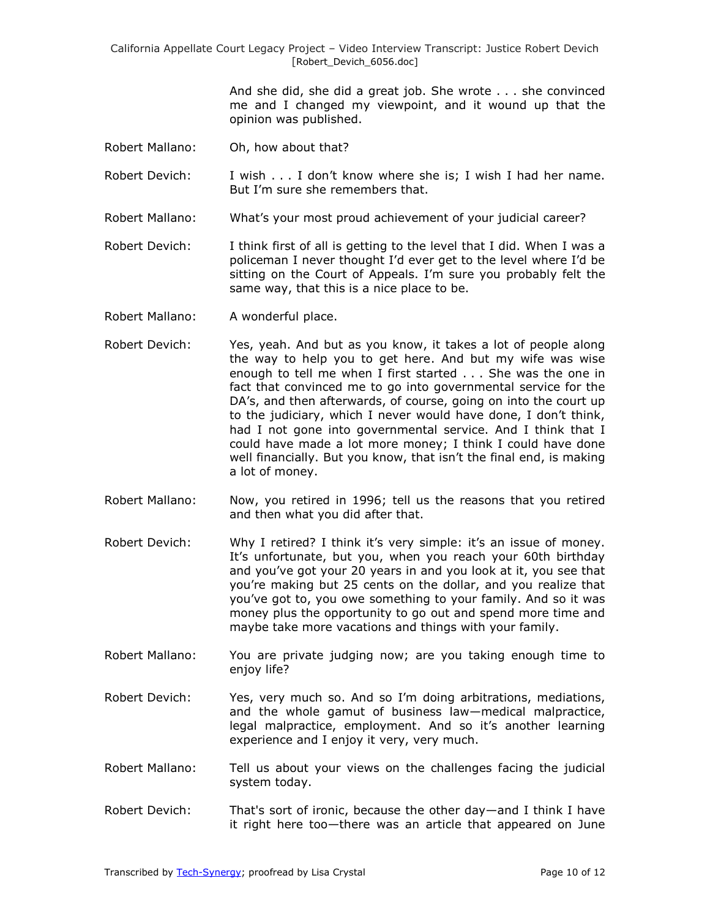> And she did, she did a great job. She wrote . . . she convinced me and I changed my viewpoint, and it wound up that the opinion was published.

- Robert Mallano: Oh, how about that?
- Robert Devich: I wish . . . I don't know where she is; I wish I had her name. But I'm sure she remembers that.
- Robert Mallano: What's your most proud achievement of your judicial career?
- Robert Devich: I think first of all is getting to the level that I did. When I was a policeman I never thought I'd ever get to the level where I'd be sitting on the Court of Appeals. I'm sure you probably felt the same way, that this is a nice place to be.
- Robert Mallano: A wonderful place.
- Robert Devich: Yes, yeah. And but as you know, it takes a lot of people along the way to help you to get here. And but my wife was wise enough to tell me when I first started . . . She was the one in fact that convinced me to go into governmental service for the DA's, and then afterwards, of course, going on into the court up to the judiciary, which I never would have done, I don't think, had I not gone into governmental service. And I think that I could have made a lot more money; I think I could have done well financially. But you know, that isn't the final end, is making a lot of money.
- Robert Mallano: Now, you retired in 1996; tell us the reasons that you retired and then what you did after that.
- Robert Devich: Why I retired? I think it's very simple: it's an issue of money. It's unfortunate, but you, when you reach your 60th birthday and you've got your 20 years in and you look at it, you see that you're making but 25 cents on the dollar, and you realize that you've got to, you owe something to your family. And so it was money plus the opportunity to go out and spend more time and maybe take more vacations and things with your family.
- Robert Mallano: You are private judging now; are you taking enough time to enjoy life?
- Robert Devich: Yes, very much so. And so I'm doing arbitrations, mediations, and the whole gamut of business law—medical malpractice, legal malpractice, employment. And so it's another learning experience and I enjoy it very, very much.
- Robert Mallano: Tell us about your views on the challenges facing the judicial system today.
- Robert Devich: That's sort of ironic, because the other day—and I think I have it right here too—there was an article that appeared on June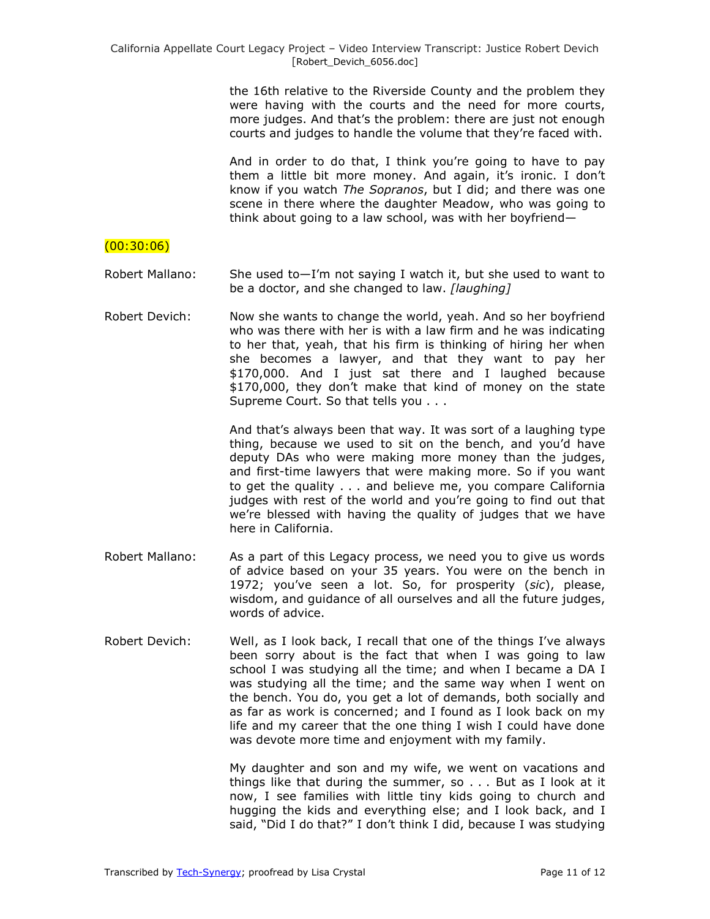the 16th relative to the Riverside County and the problem they were having with the courts and the need for more courts, more judges. And that's the problem: there are just not enough courts and judges to handle the volume that they're faced with.

And in order to do that, I think you're going to have to pay them a little bit more money. And again, it's ironic. I don't know if you watch *The Sopranos*, but I did; and there was one scene in there where the daughter Meadow, who was going to think about going to a law school, was with her boyfriend—

# $(00:30:06)$

Robert Mallano: She used to—I'm not saying I watch it, but she used to want to be a doctor, and she changed to law. *[laughing]*

Robert Devich: Now she wants to change the world, yeah. And so her boyfriend who was there with her is with a law firm and he was indicating to her that, yeah, that his firm is thinking of hiring her when she becomes a lawyer, and that they want to pay her \$170,000. And I just sat there and I laughed because \$170,000, they don't make that kind of money on the state Supreme Court. So that tells you . . .

> And that's always been that way. It was sort of a laughing type thing, because we used to sit on the bench, and you'd have deputy DAs who were making more money than the judges, and first-time lawyers that were making more. So if you want to get the quality . . . and believe me, you compare California judges with rest of the world and you're going to find out that we're blessed with having the quality of judges that we have here in California.

- Robert Mallano: As a part of this Legacy process, we need you to give us words of advice based on your 35 years. You were on the bench in 1972; you've seen a lot. So, for prosperity (*sic*), please, wisdom, and guidance of all ourselves and all the future judges, words of advice.
- Robert Devich: Well, as I look back, I recall that one of the things I've always been sorry about is the fact that when I was going to law school I was studying all the time; and when I became a DA I was studying all the time; and the same way when I went on the bench. You do, you get a lot of demands, both socially and as far as work is concerned; and I found as I look back on my life and my career that the one thing I wish I could have done was devote more time and enjoyment with my family.

My daughter and son and my wife, we went on vacations and things like that during the summer, so . . . But as I look at it now, I see families with little tiny kids going to church and hugging the kids and everything else; and I look back, and I said, "Did I do that?" I don't think I did, because I was studying